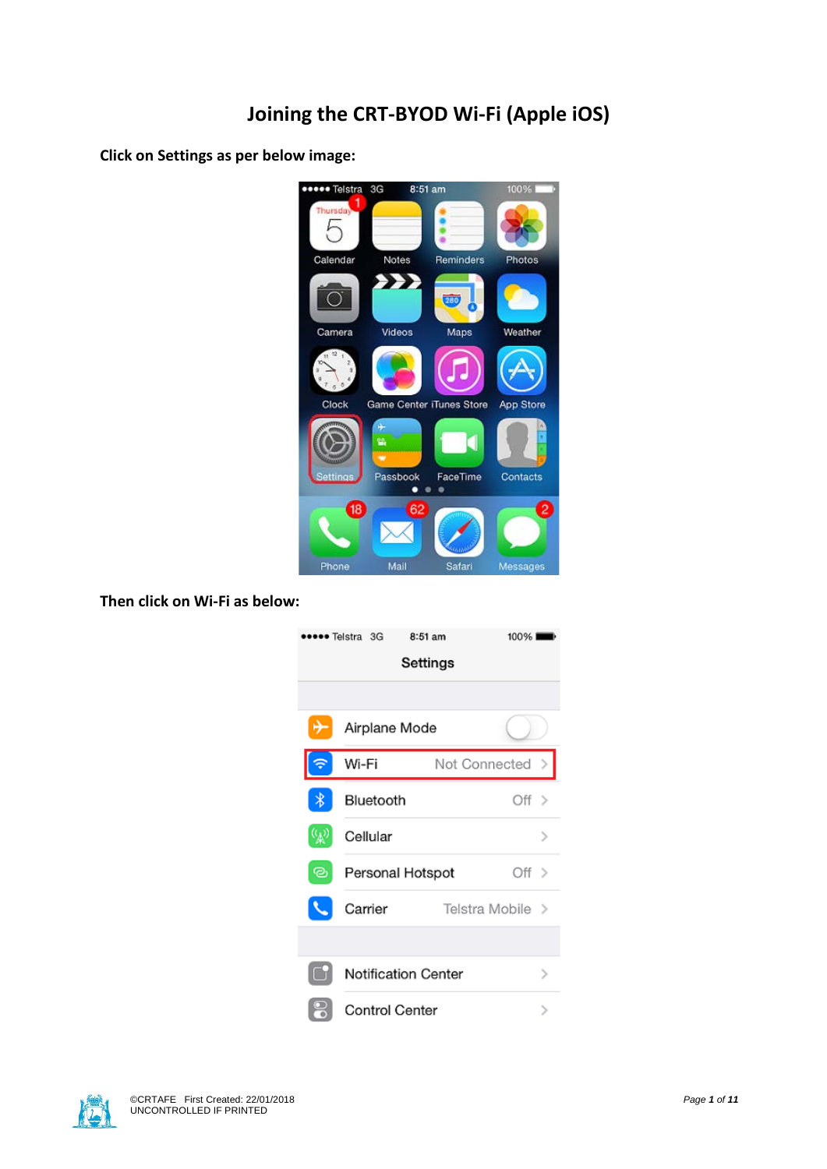**Click on Settings as per below image:**



**Then click on Wi-Fi as below:**



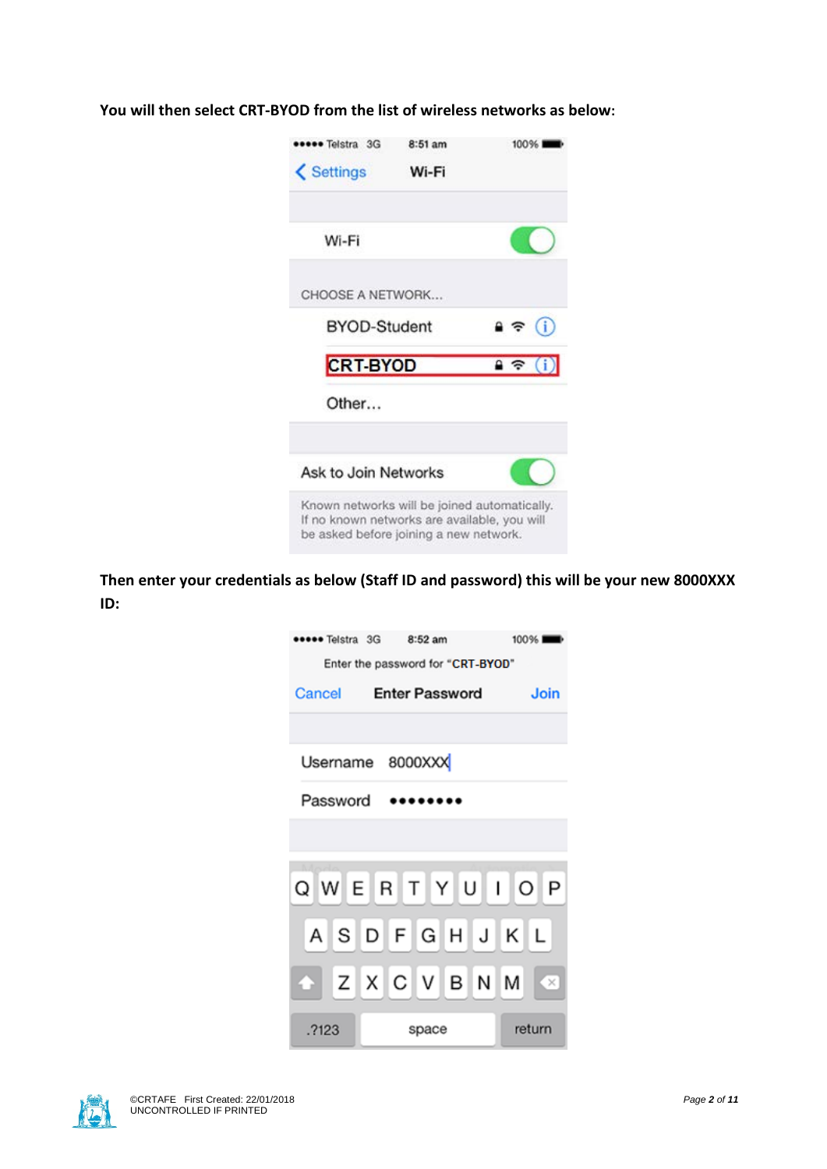| seee Telstra 3G                                                                                                                        | 8:51 am | 100%                    |
|----------------------------------------------------------------------------------------------------------------------------------------|---------|-------------------------|
| <b>くSettings</b>                                                                                                                       | Wi-Fi   |                         |
| Wi-Fi                                                                                                                                  |         |                         |
| CHOOSE A NETWORK                                                                                                                       |         |                         |
| <b>BYOD-Student</b>                                                                                                                    |         | $\hat{=}$ $\hat{=}$ (i) |
| <b>CRT-BYOD</b>                                                                                                                        |         | $\mathbf{a} \in (i)$    |
| Other                                                                                                                                  |         |                         |
| Ask to Join Networks                                                                                                                   |         |                         |
| Known networks will be joined automatically.<br>If no known networks are available, you will<br>be asked before joining a new network. |         |                         |

**You will then select CRT-BYOD from the list of wireless networks as below:**

**Then enter your credentials as below (Staff ID and password) this will be your new 8000XXX ID:**

| •●●●● Telstra 3G 8:52 am          | 100%   |
|-----------------------------------|--------|
| Enter the password for "CRT-BYOD" |        |
| Cancel Enter Password             | Join   |
|                                   |        |
| Username 8000XXX                  |        |
| Password                          |        |
|                                   |        |
|                                   |        |
| Q W E R T Y U I O P               |        |
| ASDFGHJKL                         |        |
|                                   |        |
| A Z X C V B N M X                 |        |
| .7123<br>space                    | return |

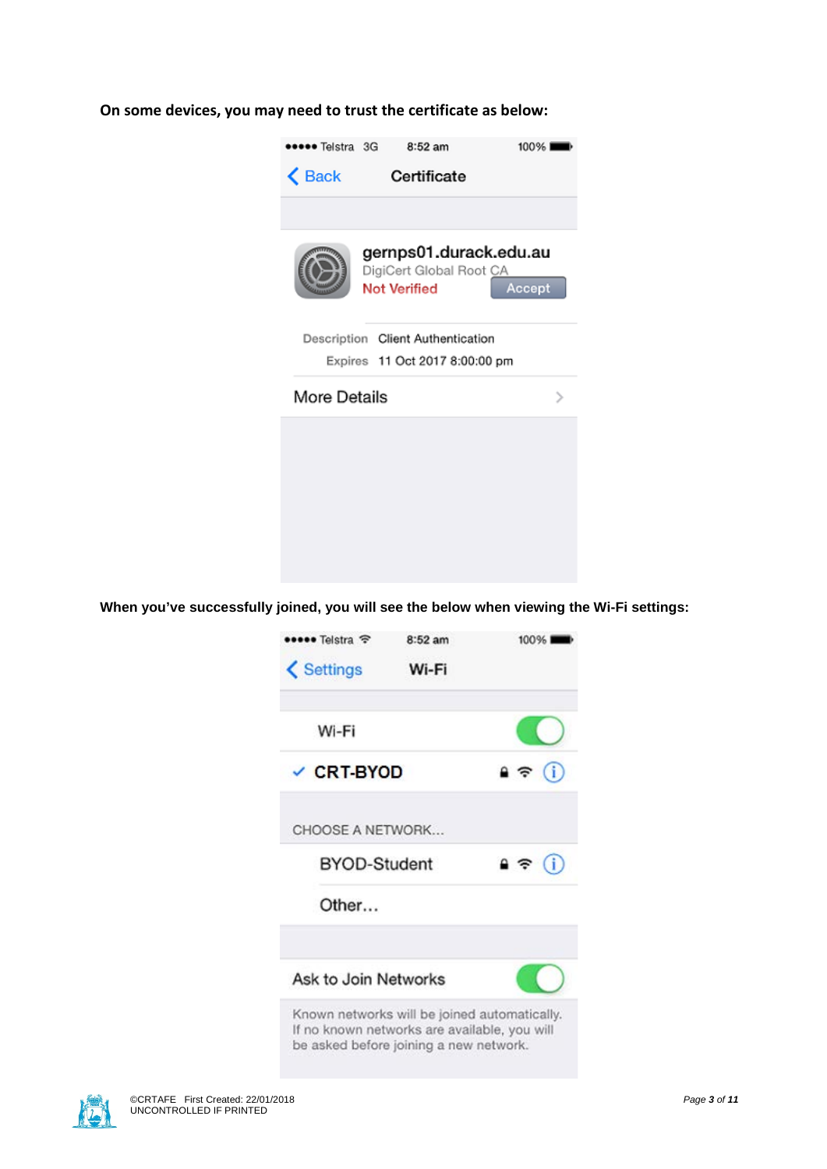#### **On some devices, you may need to trust the certificate as below:**



**When you've successfully joined, you will see the below when viewing the Wi-Fi settings:**



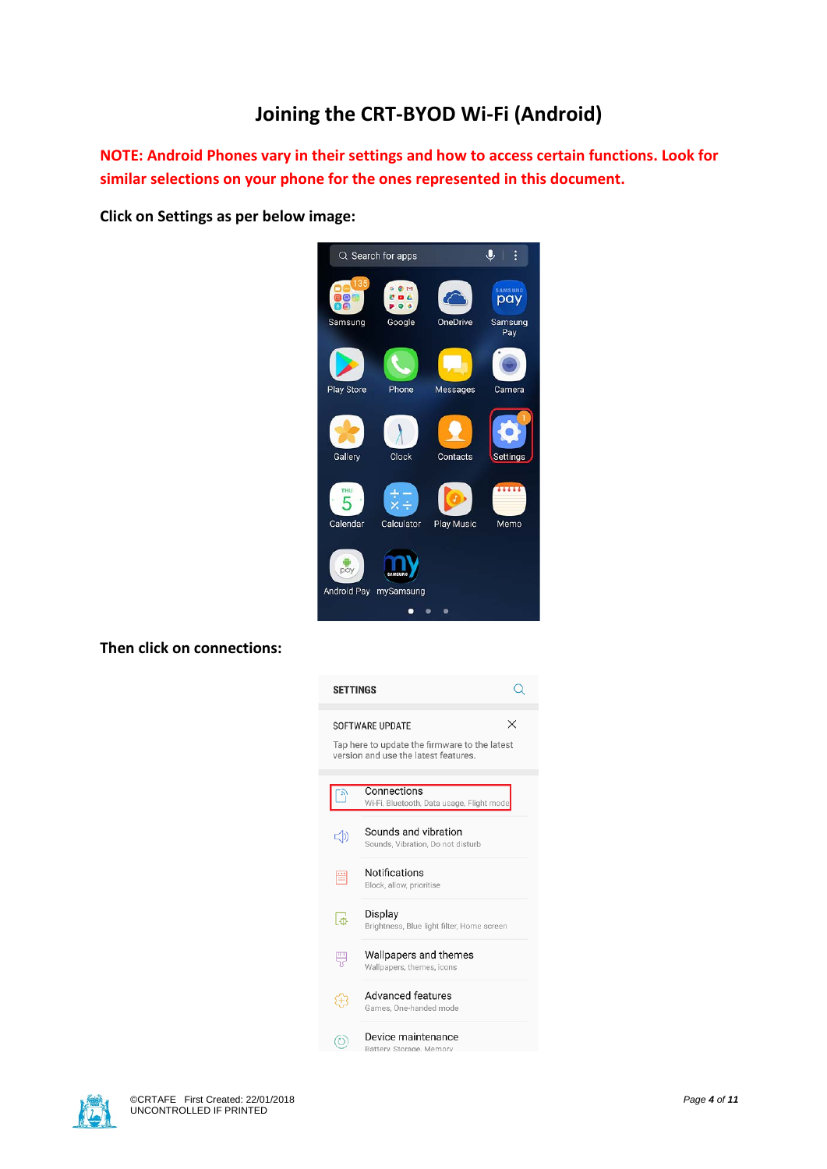## **Joining the CRT-BYOD Wi-Fi (Android)**

**NOTE: Android Phones vary in their settings and how to access certain functions. Look for similar selections on your phone for the ones represented in this document.** 

**Click on Settings as per below image:**



**Then click on connections:**

| <b>SETTINGS</b> |                                                                                                                      |
|-----------------|----------------------------------------------------------------------------------------------------------------------|
|                 | ×<br><b>SOFTWARE UPDATE</b><br>Tap here to update the firmware to the latest<br>version and use the latest features. |
|                 | Connections<br>Wi-Fi, Bluetooth, Data usage, Flight mode                                                             |
| -(1)            | Sounds and vibration<br>Sounds. Vibration. Do not disturb                                                            |
|                 | Notifications<br>Block, allow, prioritise                                                                            |
| ΙФ              | Display<br>Brightness, Blue light filter, Home screen                                                                |
|                 | Wallpapers and themes<br>Wallpapers, themes, icons                                                                   |
|                 | <b>Advanced features</b><br>Games, One-handed mode                                                                   |
|                 | Device maintenance<br>Battery, Storage, Memory                                                                       |

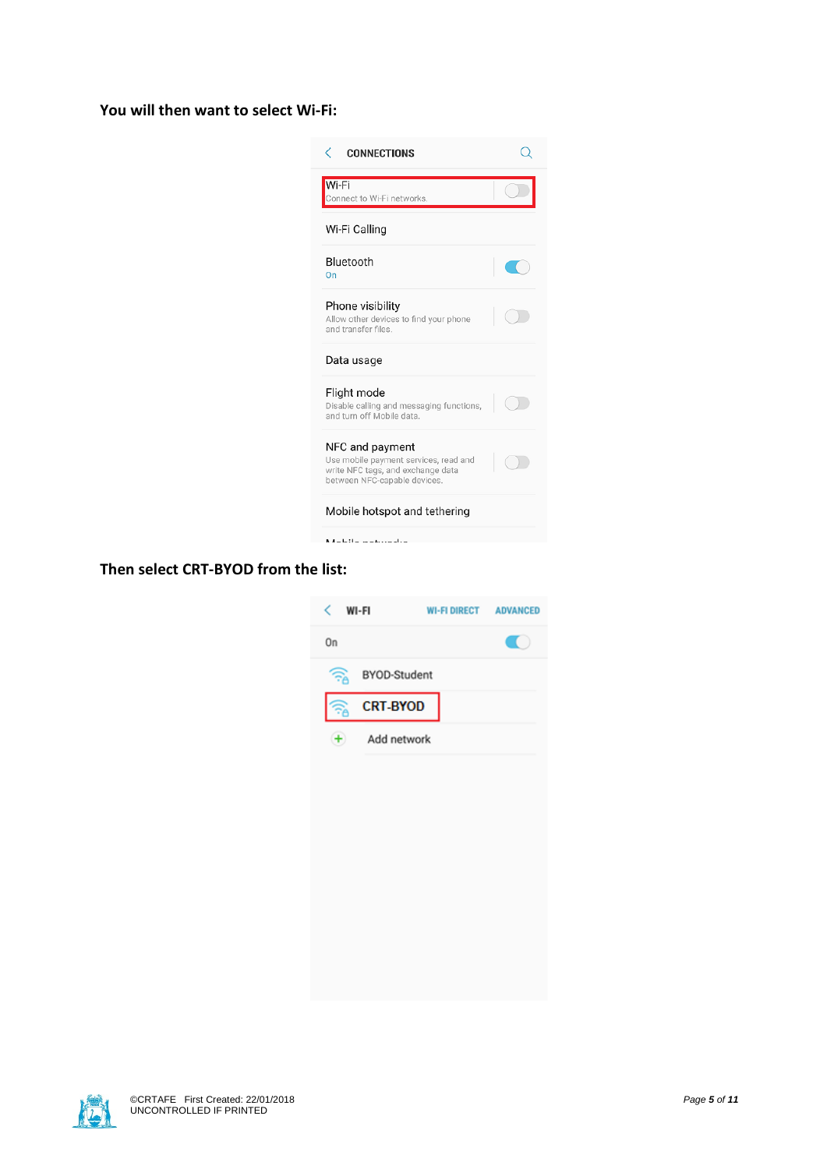#### **You will then want to select Wi-Fi:**



#### **Then select CRT-BYOD from the list:**



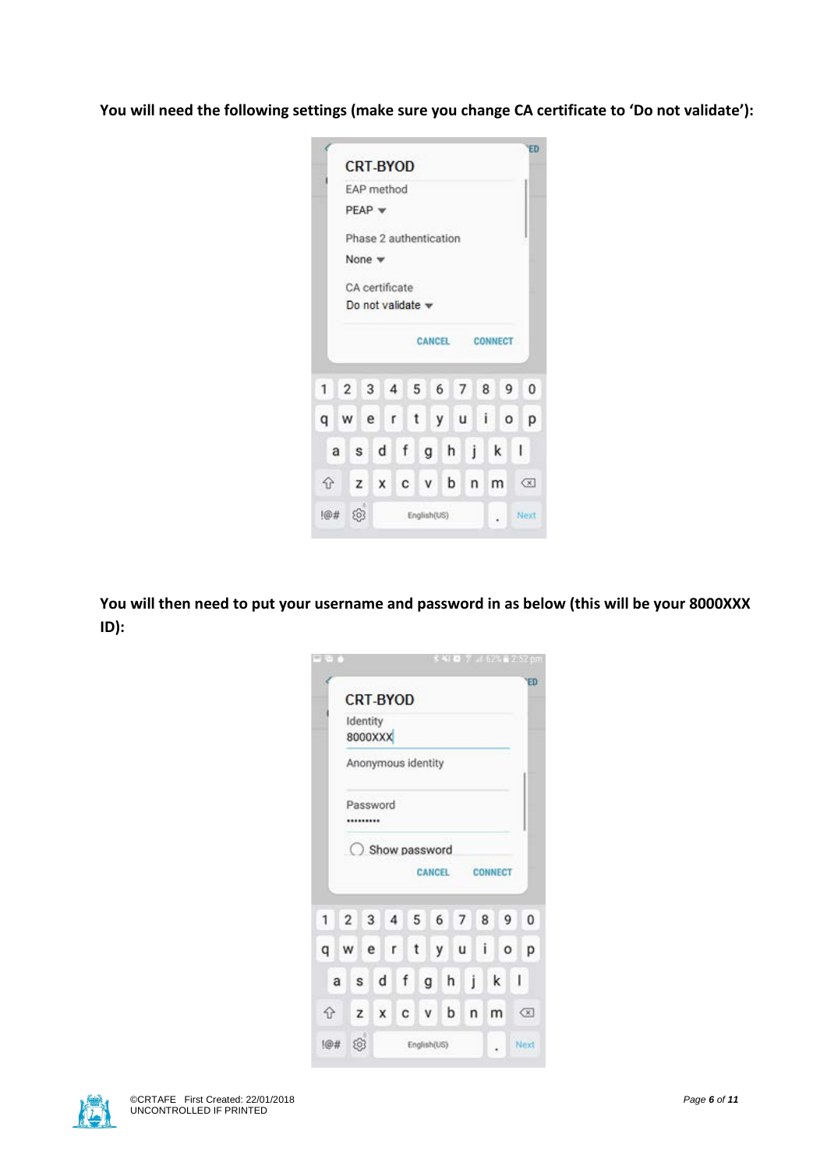**You will need the following settings (make sure you change CA certificate to 'Do not validate'):**

|   |                |          |                              |     |   |   |     |              |                |   |                |   | Ξī                                    |
|---|----------------|----------|------------------------------|-----|---|---|-----|--------------|----------------|---|----------------|---|---------------------------------------|
|   |                |          | <b>CRT-BYOD</b>              |     |   |   |     |              |                |   |                |   |                                       |
|   |                |          | EAP method                   |     |   |   |     |              |                |   |                |   |                                       |
|   |                | $PEAP =$ |                              |     |   |   |     |              |                |   |                |   |                                       |
|   |                |          | Phase 2 authentication       |     |   |   |     |              |                |   |                |   |                                       |
|   |                | None w   |                              |     |   |   |     |              |                |   |                |   |                                       |
|   |                |          | CA certificate               |     |   |   |     |              |                |   |                |   |                                       |
|   |                |          | Do not validate $\mathbf{v}$ |     |   |   |     |              |                |   |                |   |                                       |
|   |                |          |                              |     |   |   |     |              |                |   | CANCEL CONNECT |   |                                       |
|   |                |          |                              |     |   |   |     |              |                |   |                |   |                                       |
| 1 | $\overline{2}$ | 3        | 4 5                          |     |   |   |     |              | 6 7 8          |   | 9              |   | $\theta$                              |
| q | w              | e        | $\mathsf{r}$                 |     | t |   | y u |              | $\blacksquare$ |   | o              |   | р                                     |
| a | s              |          | d                            | f   |   | g | h   | j            |                | k |                | ı |                                       |
| ⇧ |                | z        | $\mathsf{X}$                 | C V |   |   | b   | $\mathsf{n}$ |                | m |                |   | $\left( \overline{\mathbf{x}}\right)$ |
|   |                |          |                              |     |   |   |     |              |                |   |                |   |                                       |

**You will then need to put your username and password in as below (this will be your 8000XXX ID):**

|     |                |                     |   |                |                    | <b>SALE</b> |   |   | $x = 625 - 252$ cm |            |    |
|-----|----------------|---------------------|---|----------------|--------------------|-------------|---|---|--------------------|------------|----|
|     |                | <b>CRT-BYOD</b>     |   |                |                    |             |   |   |                    |            | ΈD |
|     |                | Identity<br>8000XXX |   |                |                    |             |   |   |                    |            |    |
|     |                |                     |   |                | Anonymous identity |             |   |   |                    |            |    |
|     |                | Password<br>        |   |                |                    |             |   |   |                    |            |    |
|     |                |                     |   |                | Show password      |             |   |   |                    |            |    |
|     |                |                     |   |                |                    | CANCEL      |   |   | CONNECT            |            |    |
| 1   | $\overline{2}$ | 3                   |   | $\overline{4}$ | 5                  | 6           | 7 | 8 | 9                  |            | 0  |
| q   | w              | e                   |   | r.             | t                  | у           | u | i | o                  |            | р  |
| a   |                | s                   | d | f              | g                  | h           | Ĩ |   | k                  | I          |    |
| ⇧   |                | z                   | x | c              | v                  | b           |   | n | m                  | $\sqrt{x}$ |    |
| 1@# |                | 563                 |   |                | English(US)        |             |   |   |                    | Next       |    |

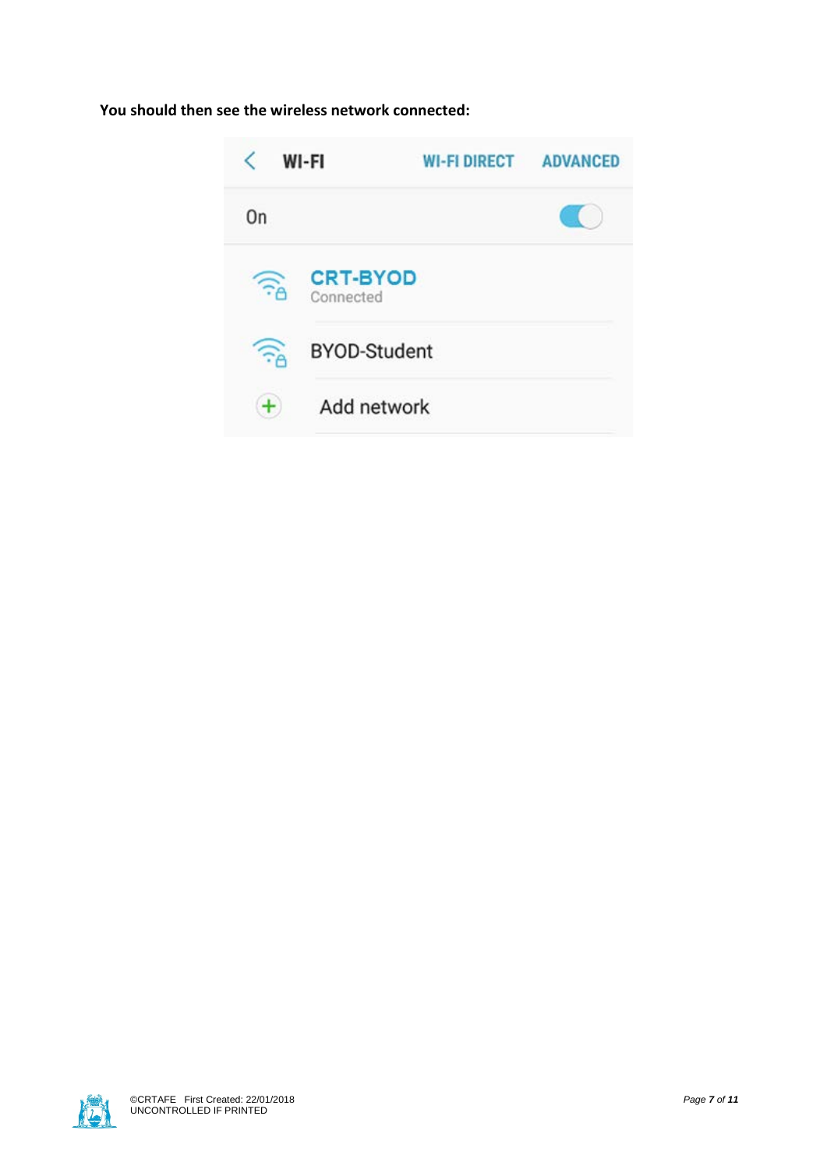### **You should then see the wireless network connected:**



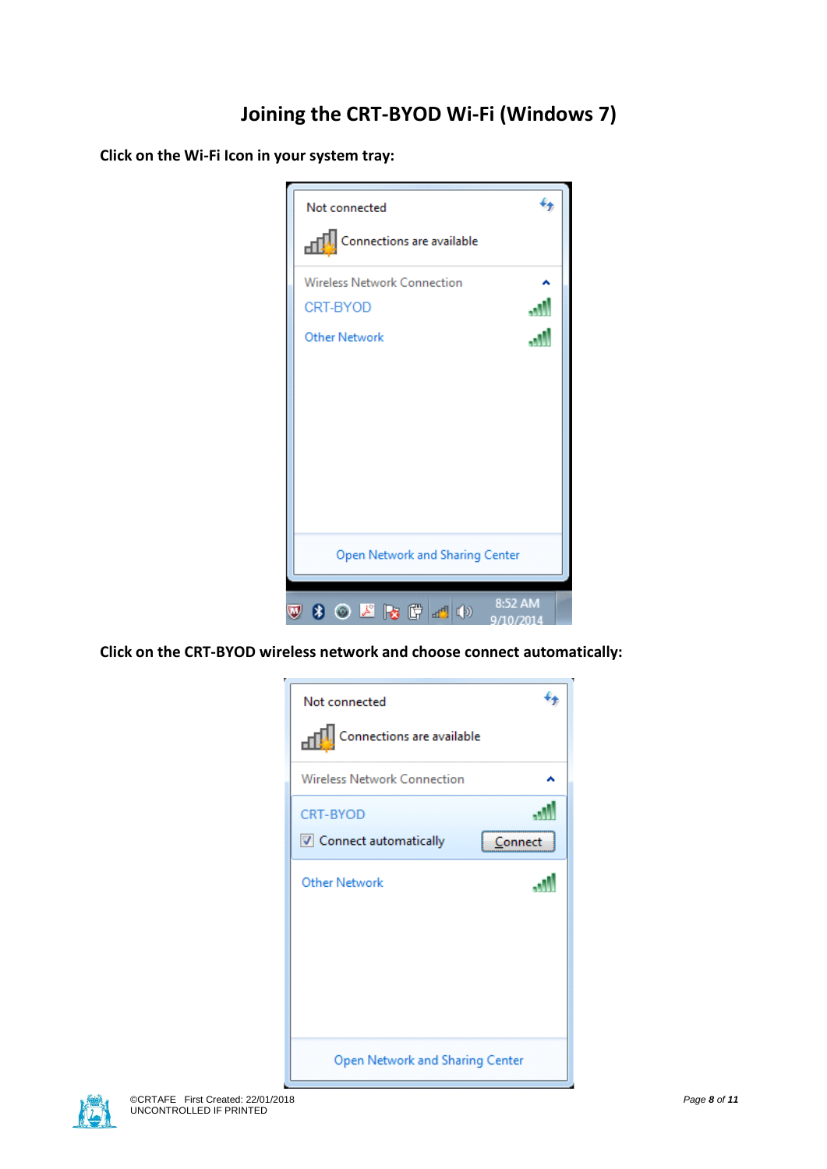# **Joining the CRT-BYOD Wi-Fi (Windows 7)**

**Click on the Wi-Fi Icon in your system tray:**



**Click on the CRT-BYOD wireless network and choose connect automatically:**

| Not connected                   |  |
|---------------------------------|--|
| Connections are available       |  |
| Wireless Network Connection     |  |
| <b>CRT-BYOD</b>                 |  |
| Connect automatically           |  |
| Other Network                   |  |
| Open Network and Sharing Center |  |

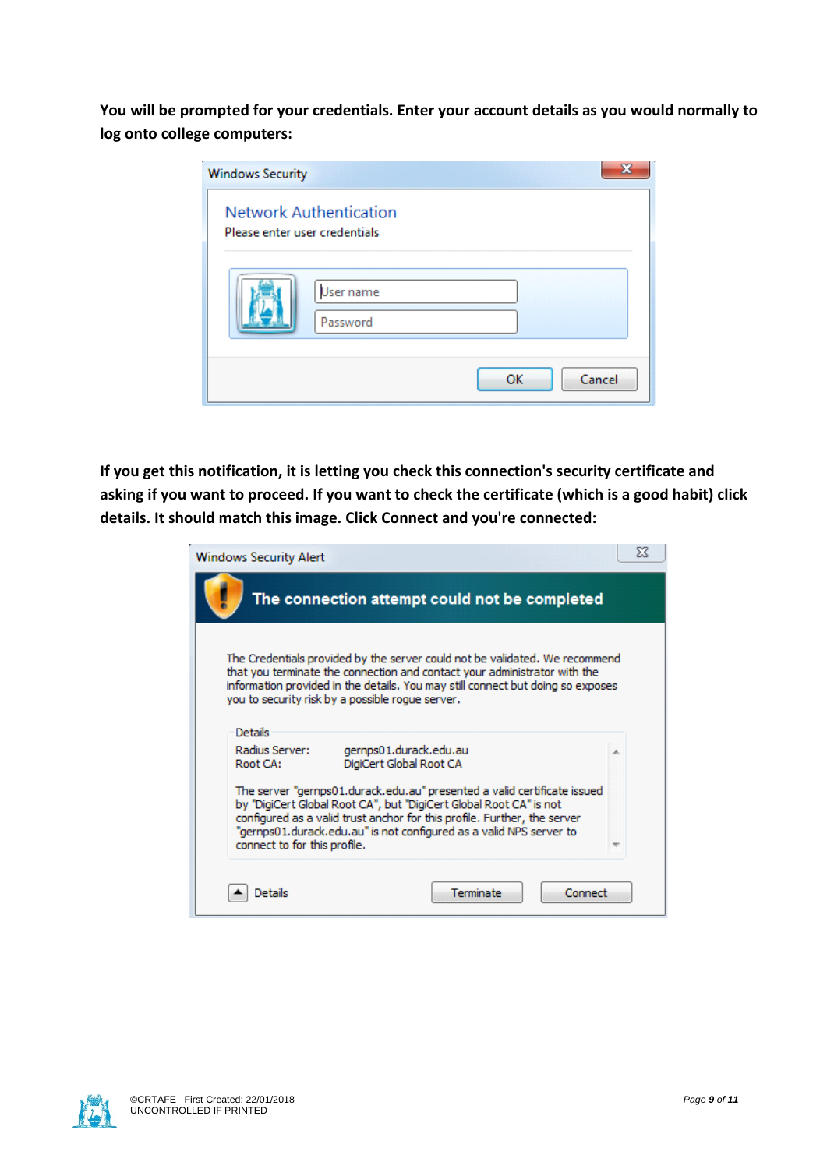**You will be prompted for your credentials. Enter your account details as you would normally to log onto college computers:**

| <b>Windows Security</b>       |                               |              |  |
|-------------------------------|-------------------------------|--------------|--|
| Please enter user credentials | <b>Network Authentication</b> |              |  |
|                               | User name<br>Password         |              |  |
|                               |                               | Cancel<br>OK |  |

**If you get this notification, it is letting you check this connection's security certificate and asking if you want to proceed. If you want to check the certificate (which is a good habit) click details. It should match this image. Click Connect and you're connected:**

| <b>Windows Security Alert</b>                                                                                                                                                                                                                                                                                                     | X |
|-----------------------------------------------------------------------------------------------------------------------------------------------------------------------------------------------------------------------------------------------------------------------------------------------------------------------------------|---|
| The connection attempt could not be completed                                                                                                                                                                                                                                                                                     |   |
| The Credentials provided by the server could not be validated. We recommend<br>that you terminate the connection and contact your administrator with the<br>information provided in the details. You may still connect but doing so exposes<br>you to security risk by a possible roque server.                                   |   |
| Details                                                                                                                                                                                                                                                                                                                           |   |
| Radius Server:<br>gernps01.durack.edu.au<br>DigiCert Global Root CA<br>Root CA:                                                                                                                                                                                                                                                   | × |
| The server "gernps01.durack.edu.au" presented a valid certificate issued<br>by "DigiCert Global Root CA", but "DigiCert Global Root CA" is not<br>configured as a valid trust anchor for this profile. Further, the server<br>"gernps01.durack.edu.au" is not configured as a valid NPS server to<br>connect to for this profile. |   |
| Terminate<br>Connect<br>Details                                                                                                                                                                                                                                                                                                   |   |

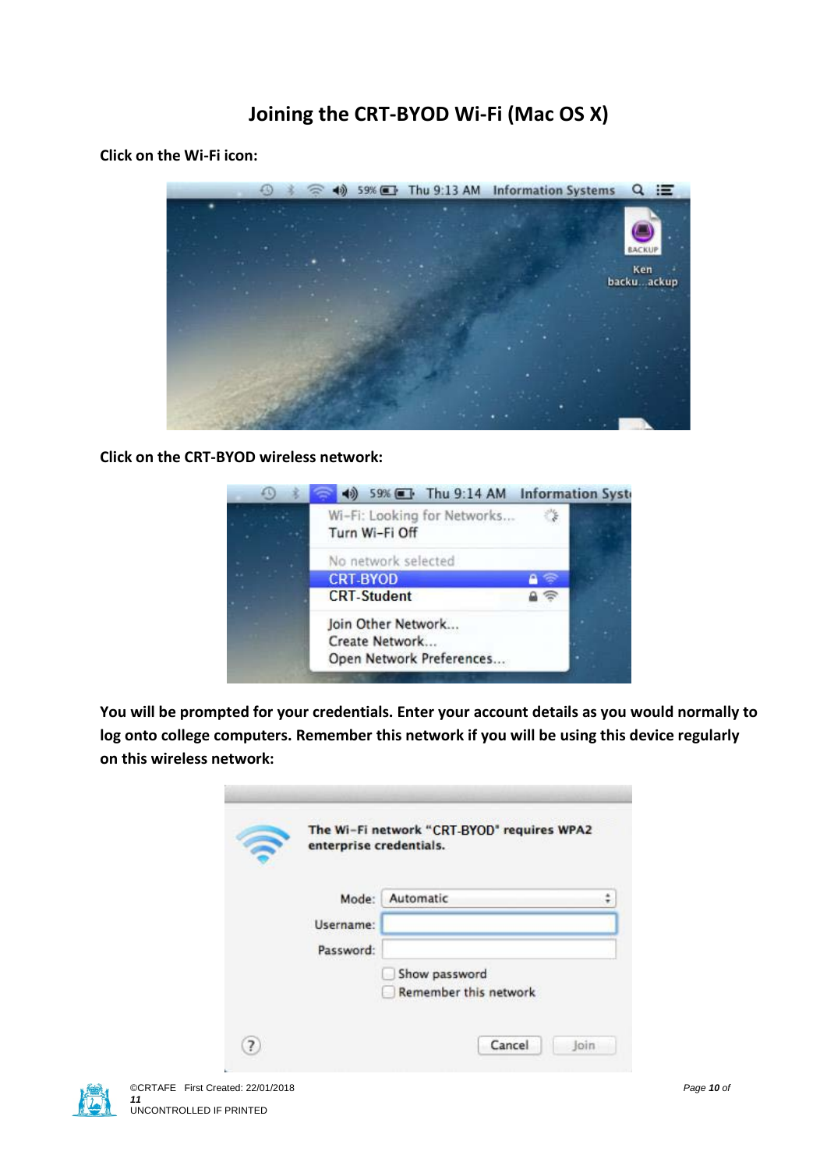## **Joining the CRT-BYOD Wi-Fi (Mac OS X)**

**Click on the Wi-Fi icon:**



**Click on the CRT-BYOD wireless network:**



**You will be prompted for your credentials. Enter your account details as you would normally to log onto college computers. Remember this network if you will be using this device regularly on this wireless network:**

| enterprise credentials. |                              |
|-------------------------|------------------------------|
| Mode:                   | Automatic                    |
| Username:               |                              |
| Password:               |                              |
|                         | Show password                |
|                         | <b>Remember this network</b> |